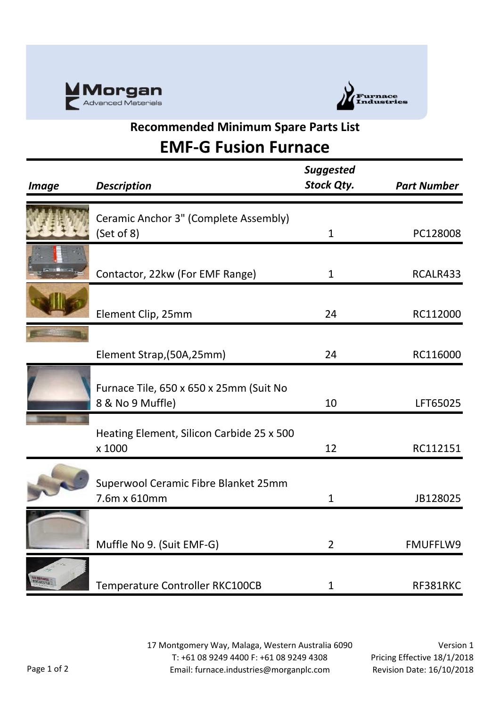



## **Recommended Minimum Spare Parts List EMF-G Fusion Furnace**

| <b>Image</b> | <b>Description</b>                                          | <b>Suggested</b><br><b>Stock Qty.</b> | <b>Part Number</b> |
|--------------|-------------------------------------------------------------|---------------------------------------|--------------------|
|              | Ceramic Anchor 3" (Complete Assembly)<br>(Set of 8)         | $\mathbf{1}$                          | PC128008           |
|              | Contactor, 22kw (For EMF Range)                             | $\mathbf{1}$                          | RCALR433           |
|              | Element Clip, 25mm                                          | 24                                    | RC112000           |
|              | Element Strap, (50A, 25mm)                                  | 24                                    | RC116000           |
|              | Furnace Tile, 650 x 650 x 25mm (Suit No<br>8 & No 9 Muffle) | 10                                    | LFT65025           |
|              | Heating Element, Silicon Carbide 25 x 500<br>x 1000         | 12                                    | RC112151           |
|              | Superwool Ceramic Fibre Blanket 25mm<br>7.6m x 610mm        | $\mathbf{1}$                          | JB128025           |
|              | Muffle No 9. (Suit EMF-G)                                   | $\overline{2}$                        | FMUFFLW9           |
|              | Temperature Controller RKC100CB                             | 1                                     | RF381RKC           |